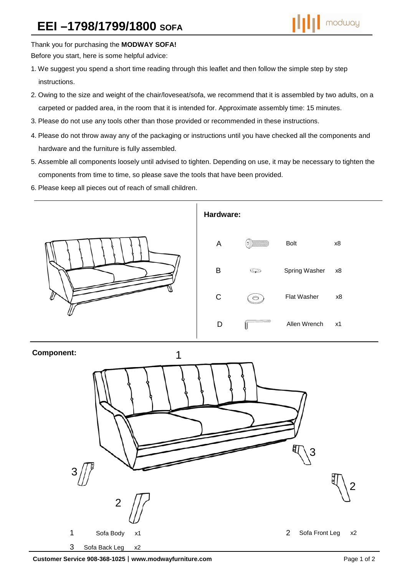Thank you for purchasing the **MODWAY SOFA!** 

Before you start, here is some helpful advice:

- 1.We suggest you spend a short time reading through this leaflet and then follow the simple step by step instructions.
- 2.Owing to the size and weight of the chair/loveseat/sofa, we recommend that it is assembled by two adults, on a carpeted or padded area, in the room that it is intended for. Approximate assembly time: 15 minutes.
- 3.Please do not use any tools other than those provided or recommended in these instructions.
- 4.Please do not throw away any of the packaging or instructions until you have checked all the components and hardware and the furniture is fully assembled.
- 5.Assemble all components loosely until advised to tighten. Depending on use, it may be necessary to tighten the components from time to time, so please save the tools that have been provided.
- 6.Please keep all pieces out of reach of small children.